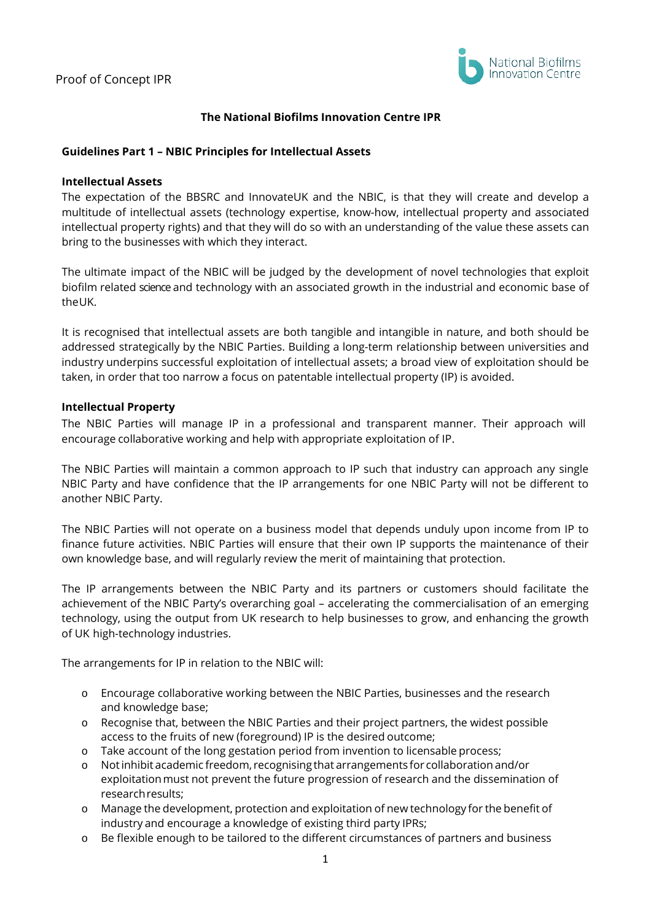

## **The National Biofilms Innovation Centre IPR**

### **Guidelines Part 1 – NBIC Principles for Intellectual Assets**

#### **Intellectual Assets**

The expectation of the BBSRC and InnovateUK and the NBIC, is that they will create and develop a multitude of intellectual assets (technology expertise, know-how, intellectual property and associated intellectual property rights) and that they will do so with an understanding of the value these assets can bring to the businesses with which they interact.

The ultimate impact of the NBIC will be judged by the development of novel technologies that exploit biofilm related science and technology with an associated growth in the industrial and economic base of theUK.

It is recognised that intellectual assets are both tangible and intangible in nature, and both should be addressed strategically by the NBIC Parties. Building a long-term relationship between universities and industry underpins successful exploitation of intellectual assets; a broad view of exploitation should be taken, in order that too narrow a focus on patentable intellectual property (IP) is avoided.

#### **Intellectual Property**

The NBIC Parties will manage IP in a professional and transparent manner. Their approach will encourage collaborative working and help with appropriate exploitation of IP.

The NBIC Parties will maintain a common approach to IP such that industry can approach any single NBIC Party and have confidence that the IP arrangements for one NBIC Party will not be different to another NBIC Party.

The NBIC Parties will not operate on a business model that depends unduly upon income from IP to finance future activities. NBIC Parties will ensure that their own IP supports the maintenance of their own knowledge base, and will regularly review the merit of maintaining that protection.

The IP arrangements between the NBIC Party and its partners or customers should facilitate the achievement of the NBIC Party's overarching goal – accelerating the commercialisation of an emerging technology, using the output from UK research to help businesses to grow, and enhancing the growth of UK high-technology industries.

The arrangements for IP in relation to the NBIC will:

- o Encourage collaborative working between the NBIC Parties, businesses and the research and knowledge base;
- o Recognise that, between the NBIC Parties and their project partners, the widest possible access to the fruits of new (foreground) IP is the desired outcome;
- o Take account of the long gestation period from invention to licensable process;<br>
o Not inhibit academic freedom, recognising that arrangements for collaboration are
- o Notinhibit academic freedom, recognising that arrangements for collaboration and/or exploitationmust not prevent the future progression of research and the dissemination of researchresults;
- o Manage the development, protection and exploitation of new technology for the benefit of industry and encourage a knowledge of existing third party IPRs;
- o Be flexible enough to be tailored to the different circumstances of partners and business